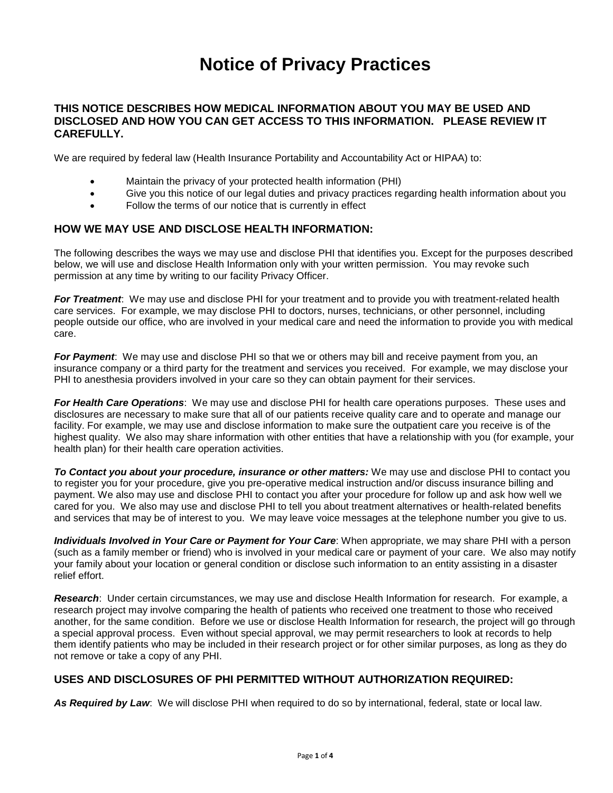# **Notice of Privacy Practices**

### **THIS NOTICE DESCRIBES HOW MEDICAL INFORMATION ABOUT YOU MAY BE USED AND DISCLOSED AND HOW YOU CAN GET ACCESS TO THIS INFORMATION. PLEASE REVIEW IT CAREFULLY.**

We are required by federal law (Health Insurance Portability and Accountability Act or HIPAA) to:

- Maintain the privacy of your protected health information (PHI)
- Give you this notice of our legal duties and privacy practices regarding health information about you
- Follow the terms of our notice that is currently in effect

#### **HOW WE MAY USE AND DISCLOSE HEALTH INFORMATION:**

The following describes the ways we may use and disclose PHI that identifies you. Except for the purposes described below, we will use and disclose Health Information only with your written permission. You may revoke such permission at any time by writing to our facility Privacy Officer.

*For Treatment*: We may use and disclose PHI for your treatment and to provide you with treatment-related health care services. For example, we may disclose PHI to doctors, nurses, technicians, or other personnel, including people outside our office, who are involved in your medical care and need the information to provide you with medical care.

*For Payment*: We may use and disclose PHI so that we or others may bill and receive payment from you, an insurance company or a third party for the treatment and services you received. For example, we may disclose your PHI to anesthesia providers involved in your care so they can obtain payment for their services.

*For Health Care Operations*: We may use and disclose PHI for health care operations purposes. These uses and disclosures are necessary to make sure that all of our patients receive quality care and to operate and manage our facility. For example, we may use and disclose information to make sure the outpatient care you receive is of the highest quality. We also may share information with other entities that have a relationship with you (for example, your health plan) for their health care operation activities.

*To Contact you about your procedure, insurance or other matters:* We may use and disclose PHI to contact you to register you for your procedure, give you pre-operative medical instruction and/or discuss insurance billing and payment. We also may use and disclose PHI to contact you after your procedure for follow up and ask how well we cared for you. We also may use and disclose PHI to tell you about treatment alternatives or health-related benefits and services that may be of interest to you. We may leave voice messages at the telephone number you give to us.

*Individuals Involved in Your Care or Payment for Your Care*: When appropriate, we may share PHI with a person (such as a family member or friend) who is involved in your medical care or payment of your care. We also may notify your family about your location or general condition or disclose such information to an entity assisting in a disaster relief effort.

*Research*: Under certain circumstances, we may use and disclose Health Information for research. For example, a research project may involve comparing the health of patients who received one treatment to those who received another, for the same condition. Before we use or disclose Health Information for research, the project will go through a special approval process. Even without special approval, we may permit researchers to look at records to help them identify patients who may be included in their research project or for other similar purposes, as long as they do not remove or take a copy of any PHI.

## **USES AND DISCLOSURES OF PHI PERMITTED WITHOUT AUTHORIZATION REQUIRED:**

*As Required by Law*: We will disclose PHI when required to do so by international, federal, state or local law.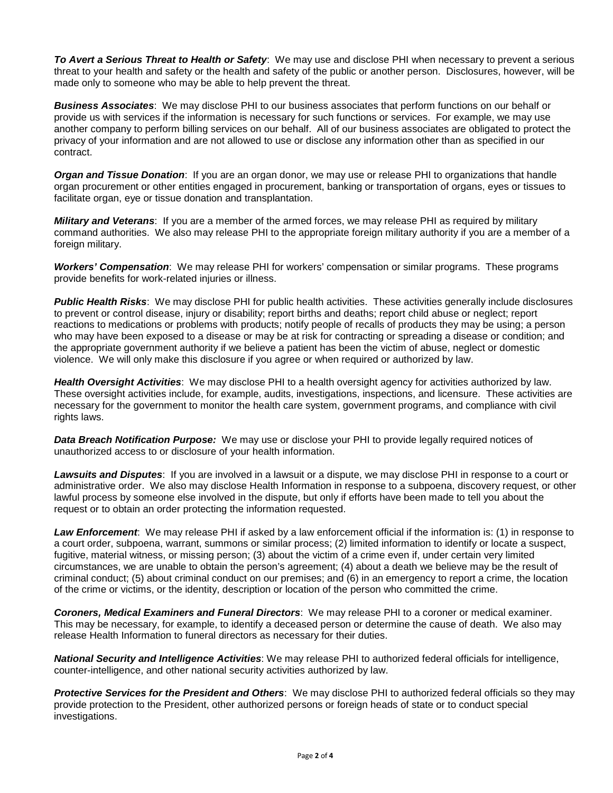*To Avert a Serious Threat to Health or Safety*: We may use and disclose PHI when necessary to prevent a serious threat to your health and safety or the health and safety of the public or another person. Disclosures, however, will be made only to someone who may be able to help prevent the threat.

*Business Associates*: We may disclose PHI to our business associates that perform functions on our behalf or provide us with services if the information is necessary for such functions or services. For example, we may use another company to perform billing services on our behalf. All of our business associates are obligated to protect the privacy of your information and are not allowed to use or disclose any information other than as specified in our contract.

*Organ and Tissue Donation*: If you are an organ donor, we may use or release PHI to organizations that handle organ procurement or other entities engaged in procurement, banking or transportation of organs, eyes or tissues to facilitate organ, eye or tissue donation and transplantation.

*Military and Veterans*: If you are a member of the armed forces, we may release PHI as required by military command authorities. We also may release PHI to the appropriate foreign military authority if you are a member of a foreign military.

*Workers' Compensation*: We may release PHI for workers' compensation or similar programs. These programs provide benefits for work-related injuries or illness.

**Public Health Risks:** We may disclose PHI for public health activities. These activities generally include disclosures to prevent or control disease, injury or disability; report births and deaths; report child abuse or neglect; report reactions to medications or problems with products; notify people of recalls of products they may be using; a person who may have been exposed to a disease or may be at risk for contracting or spreading a disease or condition; and the appropriate government authority if we believe a patient has been the victim of abuse, neglect or domestic violence. We will only make this disclosure if you agree or when required or authorized by law.

*Health Oversight Activities*: We may disclose PHI to a health oversight agency for activities authorized by law. These oversight activities include, for example, audits, investigations, inspections, and licensure. These activities are necessary for the government to monitor the health care system, government programs, and compliance with civil rights laws.

*Data Breach Notification Purpose:* We may use or disclose your PHI to provide legally required notices of unauthorized access to or disclosure of your health information.

*Lawsuits and Disputes*: If you are involved in a lawsuit or a dispute, we may disclose PHI in response to a court or administrative order. We also may disclose Health Information in response to a subpoena, discovery request, or other lawful process by someone else involved in the dispute, but only if efforts have been made to tell you about the request or to obtain an order protecting the information requested.

*Law Enforcement*: We may release PHI if asked by a law enforcement official if the information is: (1) in response to a court order, subpoena, warrant, summons or similar process; (2) limited information to identify or locate a suspect, fugitive, material witness, or missing person; (3) about the victim of a crime even if, under certain very limited circumstances, we are unable to obtain the person's agreement; (4) about a death we believe may be the result of criminal conduct; (5) about criminal conduct on our premises; and (6) in an emergency to report a crime, the location of the crime or victims, or the identity, description or location of the person who committed the crime.

*Coroners, Medical Examiners and Funeral Directors*: We may release PHI to a coroner or medical examiner. This may be necessary, for example, to identify a deceased person or determine the cause of death. We also may release Health Information to funeral directors as necessary for their duties.

*National Security and Intelligence Activities*: We may release PHI to authorized federal officials for intelligence, counter-intelligence, and other national security activities authorized by law.

*Protective Services for the President and Others*: We may disclose PHI to authorized federal officials so they may provide protection to the President, other authorized persons or foreign heads of state or to conduct special investigations.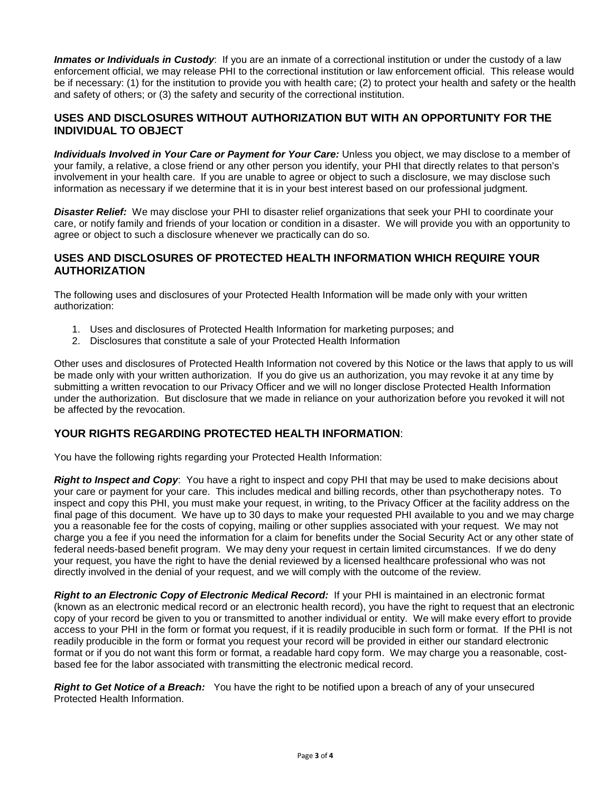*Inmates or Individuals in Custody*: If you are an inmate of a correctional institution or under the custody of a law enforcement official, we may release PHI to the correctional institution or law enforcement official. This release would be if necessary: (1) for the institution to provide you with health care; (2) to protect your health and safety or the health and safety of others; or (3) the safety and security of the correctional institution.

## **USES AND DISCLOSURES WITHOUT AUTHORIZATION BUT WITH AN OPPORTUNITY FOR THE INDIVIDUAL TO OBJECT**

*Individuals Involved in Your Care or Payment for Your Care:* Unless you object, we may disclose to a member of your family, a relative, a close friend or any other person you identify, your PHI that directly relates to that person's involvement in your health care. If you are unable to agree or object to such a disclosure, we may disclose such information as necessary if we determine that it is in your best interest based on our professional judgment.

*Disaster Relief:* We may disclose your PHI to disaster relief organizations that seek your PHI to coordinate your care, or notify family and friends of your location or condition in a disaster. We will provide you with an opportunity to agree or object to such a disclosure whenever we practically can do so.

## **USES AND DISCLOSURES OF PROTECTED HEALTH INFORMATION WHICH REQUIRE YOUR AUTHORIZATION**

The following uses and disclosures of your Protected Health Information will be made only with your written authorization:

- 1. Uses and disclosures of Protected Health Information for marketing purposes; and
- 2. Disclosures that constitute a sale of your Protected Health Information

Other uses and disclosures of Protected Health Information not covered by this Notice or the laws that apply to us will be made only with your written authorization. If you do give us an authorization, you may revoke it at any time by submitting a written revocation to our Privacy Officer and we will no longer disclose Protected Health Information under the authorization. But disclosure that we made in reliance on your authorization before you revoked it will not be affected by the revocation.

#### **YOUR RIGHTS REGARDING PROTECTED HEALTH INFORMATION**:

You have the following rights regarding your Protected Health Information:

*Right to Inspect and Copy*: You have a right to inspect and copy PHI that may be used to make decisions about your care or payment for your care. This includes medical and billing records, other than psychotherapy notes. To inspect and copy this PHI, you must make your request, in writing, to the Privacy Officer at the facility address on the final page of this document. We have up to 30 days to make your requested PHI available to you and we may charge you a reasonable fee for the costs of copying, mailing or other supplies associated with your request. We may not charge you a fee if you need the information for a claim for benefits under the Social Security Act or any other state of federal needs-based benefit program. We may deny your request in certain limited circumstances. If we do deny your request, you have the right to have the denial reviewed by a licensed healthcare professional who was not directly involved in the denial of your request, and we will comply with the outcome of the review.

*Right to an Electronic Copy of Electronic Medical Record:* If your PHI is maintained in an electronic format (known as an electronic medical record or an electronic health record), you have the right to request that an electronic copy of your record be given to you or transmitted to another individual or entity. We will make every effort to provide access to your PHI in the form or format you request, if it is readily producible in such form or format. If the PHI is not readily producible in the form or format you request your record will be provided in either our standard electronic format or if you do not want this form or format, a readable hard copy form. We may charge you a reasonable, costbased fee for the labor associated with transmitting the electronic medical record.

*Right to Get Notice of a Breach:* You have the right to be notified upon a breach of any of your unsecured Protected Health Information.